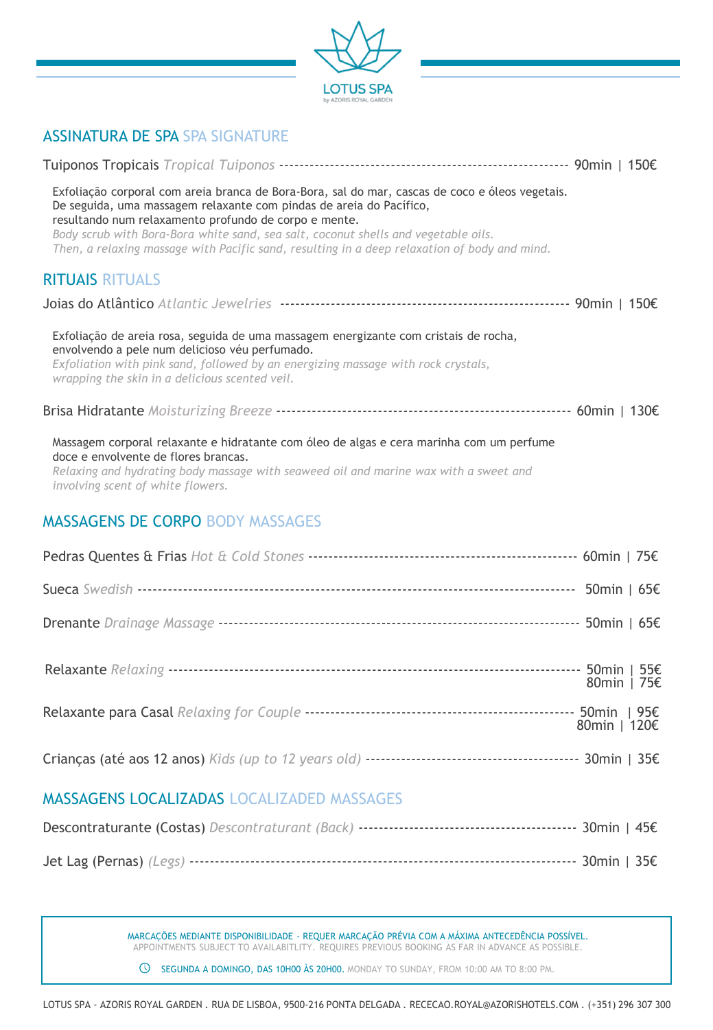

### ASSINATURA DE SPA SPA SIGNATURE

| Exfoliação corporal com areia branca de Bora-Bora, sal do mar, cascas de coco e óleos vegetais.<br>De seguida, uma massagem relaxante com pindas de areia do Pacífico,<br>resultando num relaxamento profundo de corpo e mente.<br>Body scrub with Bora-Bora white sand, sea salt, coconut shells and vegetable oils.<br>Then, a relaxing massage with Pacific sand, resulting in a deep relaxation of body and mind. |              |
|-----------------------------------------------------------------------------------------------------------------------------------------------------------------------------------------------------------------------------------------------------------------------------------------------------------------------------------------------------------------------------------------------------------------------|--------------|
| <b>RITUAIS RITUALS</b>                                                                                                                                                                                                                                                                                                                                                                                                |              |
|                                                                                                                                                                                                                                                                                                                                                                                                                       |              |
| Exfoliação de areia rosa, seguida de uma massagem energizante com cristais de rocha,<br>envolvendo a pele num delicioso véu perfumado.<br>Exfoliation with pink sand, followed by an energizing massage with rock crystals,<br>wrapping the skin in a delicious scented veil.                                                                                                                                         |              |
|                                                                                                                                                                                                                                                                                                                                                                                                                       |              |
| Massagem corporal relaxante e hidratante com óleo de algas e cera marinha com um perfume<br>doce e envolvente de flores brancas.<br>Relaxing and hydrating body massage with seaweed oil and marine wax with a sweet and<br>involving scent of white flowers.                                                                                                                                                         |              |
| <b>MASSAGENS DE CORPO BODY MASSAGES</b>                                                                                                                                                                                                                                                                                                                                                                               |              |
|                                                                                                                                                                                                                                                                                                                                                                                                                       |              |
|                                                                                                                                                                                                                                                                                                                                                                                                                       |              |
|                                                                                                                                                                                                                                                                                                                                                                                                                       |              |
|                                                                                                                                                                                                                                                                                                                                                                                                                       | 80min   75€  |
|                                                                                                                                                                                                                                                                                                                                                                                                                       | 80min   120€ |

|--|--|--|--|--|--|

### MASSAGENS LOCALIZADAS LOCALIZADED MASSAGES

MARCAÇÕES MEDIANTE DISPONIBILIDADE - REQUER MARCAÇÃO PRÉVIA COM A MÁXIMA ANTECEDÊNCIA POSSÍVEL. APPOINTMENTS SUBJECT TO AVAILABITLITY. REQUIRES PREVIOUS BOOKING AS FAR IN ADVANCE AS POSSIBLE.

SEGUNDA A DOMINGO, DAS 10H00 ÀS 20H00. MONDAY TO SUNDAY, FROM 10:00 AM TO 8:00 PM.